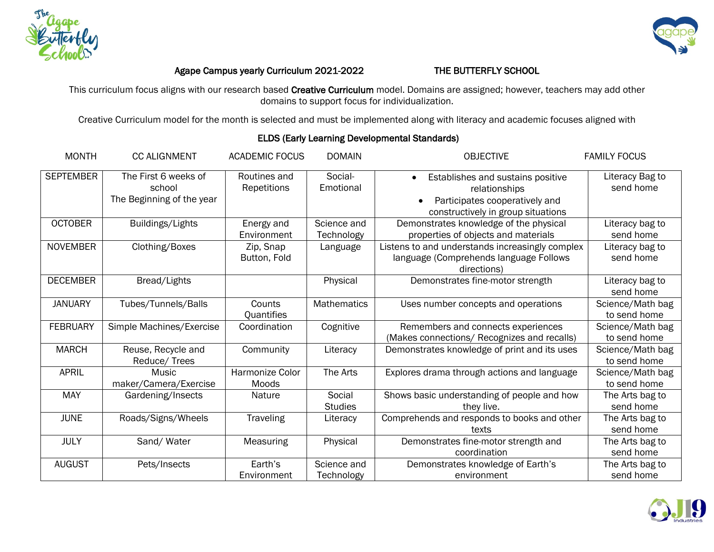



## Agape Campus yearly Curriculum 2021-2022 THE BUTTERFLY SCHOOL

This curriculum focus aligns with our research based Creative Curriculum model. Domains are assigned; however, teachers may add other domains to support focus for individualization.

Creative Curriculum model for the month is selected and must be implemented along with literacy and academic focuses aligned with

| <b>MONTH</b>     | <b>CC ALIGNMENT</b>                   | <b>ACADEMIC FOCUS</b>       | <b>DOMAIN</b>             | <b>OBJECTIVE</b>                                                                                         | <b>FAMILY FOCUS</b>              |
|------------------|---------------------------------------|-----------------------------|---------------------------|----------------------------------------------------------------------------------------------------------|----------------------------------|
| <b>SEPTEMBER</b> | The First 6 weeks of<br>school        | Routines and<br>Repetitions | Social-<br>Emotional      | Establishes and sustains positive<br>$\bullet$<br>relationships                                          | Literacy Bag to<br>send home     |
|                  | The Beginning of the year             |                             |                           | Participates cooperatively and<br>constructively in group situations                                     |                                  |
| <b>OCTOBER</b>   | Buildings/Lights                      | Energy and<br>Environment   | Science and<br>Technology | Demonstrates knowledge of the physical<br>properties of objects and materials                            | Literacy bag to<br>send home     |
| <b>NOVEMBER</b>  | Clothing/Boxes                        | Zip, Snap<br>Button, Fold   | Language                  | Listens to and understands increasingly complex<br>language (Comprehends language Follows<br>directions) | Literacy bag to<br>send home     |
| <b>DECEMBER</b>  | Bread/Lights                          |                             | Physical                  | Demonstrates fine-motor strength                                                                         | Literacy bag to<br>send home     |
| <b>JANUARY</b>   | Tubes/Tunnels/Balls                   | Counts<br>Quantifies        | <b>Mathematics</b>        | Uses number concepts and operations                                                                      | Science/Math bag<br>to send home |
| <b>FEBRUARY</b>  | Simple Machines/Exercise              | Coordination                | Cognitive                 | Remembers and connects experiences<br>(Makes connections/ Recognizes and recalls)                        | Science/Math bag<br>to send home |
| <b>MARCH</b>     | Reuse, Recycle and<br>Reduce/Trees    | Community                   | Literacy                  | Demonstrates knowledge of print and its uses                                                             | Science/Math bag<br>to send home |
| <b>APRIL</b>     | <b>Music</b><br>maker/Camera/Exercise | Harmonize Color<br>Moods    | The Arts                  | Explores drama through actions and language                                                              | Science/Math bag<br>to send home |
| <b>MAY</b>       | Gardening/Insects                     | Nature                      | Social<br><b>Studies</b>  | Shows basic understanding of people and how<br>they live.                                                | The Arts bag to<br>send home     |
| <b>JUNE</b>      | Roads/Signs/Wheels                    | Traveling                   | Literacy                  | Comprehends and responds to books and other<br>texts                                                     | The Arts bag to<br>send home     |
| <b>JULY</b>      | Sand/Water                            | Measuring                   | Physical                  | Demonstrates fine-motor strength and<br>coordination                                                     | The Arts bag to<br>send home     |
| <b>AUGUST</b>    | Pets/Insects                          | Earth's<br>Environment      | Science and<br>Technology | Demonstrates knowledge of Earth's<br>environment                                                         | The Arts bag to<br>send home     |

## ELDS (Early Learning Developmental Standards)